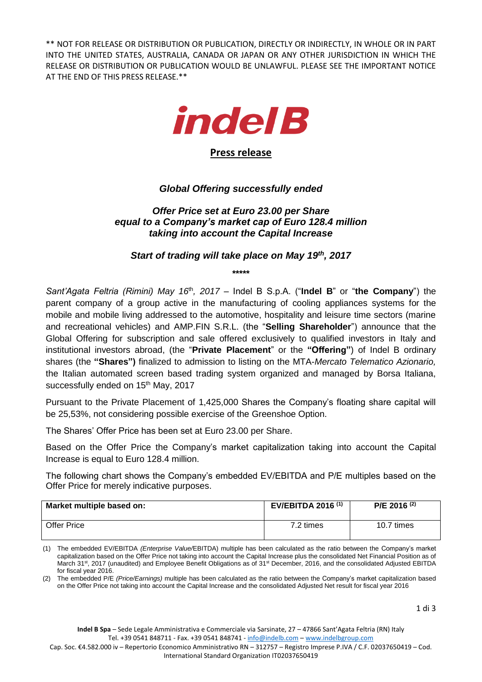\*\* NOT FOR RELEASE OR DISTRIBUTION OR PUBLICATION, DIRECTLY OR INDIRECTLY, IN WHOLE OR IN PART INTO THE UNITED STATES, AUSTRALIA, CANADA OR JAPAN OR ANY OTHER JURISDICTION IN WHICH THE RELEASE OR DISTRIBUTION OR PUBLICATION WOULD BE UNLAWFUL. PLEASE SEE THE IMPORTANT NOTICE AT THE END OF THIS PRESS RELEASE.\*\*



#### **Press release**

# *Global Offering successfully ended*

## *Offer Price set at Euro 23.00 per Share equal to a Company's market cap of Euro 128.4 million taking into account the Capital Increase*

*Start of trading will take place on May 19th, 2017*

**\*\*\*\*\***

*Sant'Agata Feltria (Rimini) May 16*th*, 2017* – Indel B S.p.A. ("**Indel B**" or "**the Company**") the parent company of a group active in the manufacturing of cooling appliances systems for the mobile and mobile living addressed to the automotive, hospitality and leisure time sectors (marine and recreational vehicles) and AMP.FIN S.R.L. (the "**Selling Shareholder**") announce that the Global Offering for subscription and sale offered exclusively to qualified investors in Italy and institutional investors abroad, (the "**Private Placement**" or the **"Offering"**) of Indel B ordinary shares (the **"Shares")** finalized to admission to listing on the MTA-*Mercato Telematico Azionario,*  the Italian automated screen based trading system organized and managed by Borsa Italiana, successfully ended on 15<sup>th</sup> May, 2017

Pursuant to the Private Placement of 1,425,000 Shares the Company's floating share capital will be 25,53%, not considering possible exercise of the Greenshoe Option.

The Shares' Offer Price has been set at Euro 23.00 per Share.

Based on the Offer Price the Company's market capitalization taking into account the Capital Increase is equal to Euro 128.4 million.

The following chart shows the Company's embedded EV/EBITDA and P/E multiples based on the Offer Price for merely indicative purposes.

| Market multiple based on: | EV/EBITDA 2016 $(1)$ | $P/E$ 2016 <sup>(2)</sup> |
|---------------------------|----------------------|---------------------------|
| <b>Offer Price</b>        | 7.2 times            | 10.7 times                |

<sup>(1)</sup> The embedded EV/EBITDA *(Enterprise Value/*EBITDA) multiple has been calculated as the ratio between the Company's market capitalization based on the Offer Price not taking into account the Capital Increase plus the consolidated Net Financial Position as of March 31<sup>st</sup>, 2017 (unaudited) and Employee Benefit Obligations as of 31<sup>st</sup> December, 2016, and the consolidated Adjusted EBITDA for fiscal year 2016.

(2) The embedded P/E *(Price/Earnings)* multiple has been calculated as the ratio between the Company's market capitalization based on the Offer Price not taking into account the Capital Increase and the consolidated Adjusted Net result for fiscal year 2016

Cap. Soc. €4.582.000 iv – Repertorio Economico Amministrativo RN – 312757 – Registro Imprese P.IVA / C.F. 02037650419 – Cod. International Standard Organization IT02037650419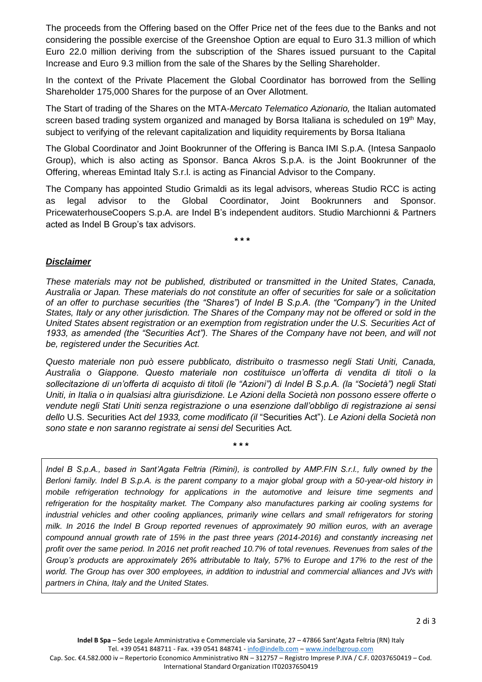The proceeds from the Offering based on the Offer Price net of the fees due to the Banks and not considering the possible exercise of the Greenshoe Option are equal to Euro 31.3 million of which Euro 22.0 million deriving from the subscription of the Shares issued pursuant to the Capital Increase and Euro 9.3 million from the sale of the Shares by the Selling Shareholder.

In the context of the Private Placement the Global Coordinator has borrowed from the Selling Shareholder 175,000 Shares for the purpose of an Over Allotment.

The Start of trading of the Shares on the MTA-*Mercato Telematico Azionario,* the Italian automated screen based trading system organized and managed by Borsa Italiana is scheduled on  $19<sup>th</sup>$  May, subject to verifying of the relevant capitalization and liquidity requirements by Borsa Italiana

The Global Coordinator and Joint Bookrunner of the Offering is Banca IMI S.p.A. (Intesa Sanpaolo Group), which is also acting as Sponsor. Banca Akros S.p.A. is the Joint Bookrunner of the Offering, whereas Emintad Italy S.r.l. is acting as Financial Advisor to the Company.

The Company has appointed Studio Grimaldi as its legal advisors, whereas Studio RCC is acting as legal advisor to the Global Coordinator, Joint Bookrunners and Sponsor. PricewaterhouseCoopers S.p.A. are Indel B's independent auditors. Studio Marchionni & Partners acted as Indel B Group's tax advisors.

**\* \* \***

## *Disclaimer*

*These materials may not be published, distributed or transmitted in the United States, Canada, Australia or Japan. These materials do not constitute an offer of securities for sale or a solicitation of an offer to purchase securities (the "Shares") of Indel B S.p.A. (the "Company") in the United States, Italy or any other jurisdiction. The Shares of the Company may not be offered or sold in the United States absent registration or an exemption from registration under the U.S. Securities Act of 1933, as amended (the "Securities Act"). The Shares of the Company have not been, and will not be, registered under the Securities Act.*

*Questo materiale non può essere pubblicato, distribuito o trasmesso negli Stati Uniti, Canada, Australia o Giappone. Questo materiale non costituisce un'offerta di vendita di titoli o la sollecitazione di un'offerta di acquisto di titoli (le "Azioni") di Indel B S.p.A. (la "Società") negli Stati Uniti, in Italia o in qualsiasi altra giurisdizione. Le Azioni della Società non possono essere offerte o vendute negli Stati Uniti senza registrazione o una esenzione dall'obbligo di registrazione ai sensi dello* U.S. Securities Act *del 1933, come modificato (il* "Securities Act"). *Le Azioni della Società non sono state e non saranno registrate ai sensi del* Securities Act*.*

**\* \* \***

*Indel B S.p.A., based in Sant'Agata Feltria (Rimini), is controlled by AMP.FIN S.r.l., fully owned by the Berloni family. Indel B S.p.A. is the parent company to a major global group with a 50-year-old history in mobile refrigeration technology for applications in the automotive and leisure time segments and refrigeration for the hospitality market. The Company also manufactures parking air cooling systems for industrial vehicles and other cooling appliances, primarily wine cellars and small refrigerators for storing milk. In 2016 the Indel B Group reported revenues of approximately 90 million euros, with an average compound annual growth rate of 15% in the past three years (2014-2016) and constantly increasing net profit over the same period. In 2016 net profit reached 10.7% of total revenues. Revenues from sales of the Group's products are approximately 26% attributable to Italy, 57% to Europe and 17% to the rest of the world. The Group has over 300 employees, in addition to industrial and commercial alliances and JVs with partners in China, Italy and the United States.*